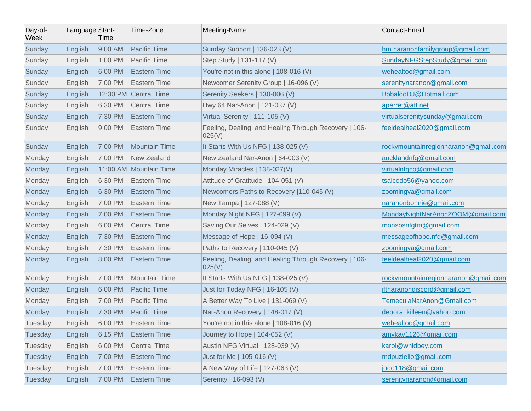| Day-of-<br>Week | Language Start- | Time    | Time-Zone              | Meeting-Name                                                    | Contact-Email                        |
|-----------------|-----------------|---------|------------------------|-----------------------------------------------------------------|--------------------------------------|
| Sunday          | English         | 9:00 AM | <b>Pacific Time</b>    | Sunday Support   136-023 (V)                                    | hm.naranonfamilygroup@gmail.com      |
| Sunday          | English         | 1:00 PM | Pacific Time           | Step Study   131-117 (V)                                        | SundayNFGStepStudy@gmail.com         |
| Sunday          | English         | 6:00 PM | <b>Eastern Time</b>    | You're not in this alone   108-016 (V)                          | wehealtoo@gmail.com                  |
| Sunday          | English         | 7:00 PM | Eastern Time           | Newcomer Serenity Group   16-096 (V)                            | serenitynaranon@gmail.com            |
| Sunday          | English         |         | 12:30 PM Central Time  | Serenity Seekers   130-006 (V)                                  | BobalooDJ@Hotmail.com                |
| Sunday          | English         | 6:30 PM | Central Time           | Hwy 64 Nar-Anon   121-037 (V)                                   | aperret@att.net                      |
| Sunday          | English         | 7:30 PM | <b>Eastern Time</b>    | Virtual Serenity   111-105 (V)                                  | virtualserenitysunday@gmail.com      |
| Sunday          | English         | 9:00 PM | Eastern Time           | Feeling, Dealing, and Healing Through Recovery   106-<br>025(V) | feeldealheal2020@gmail.com           |
| Sunday          | English         | 7:00 PM | Mountain Time          | It Starts With Us NFG   138-025 (V)                             | rockymountainregionnaranon@gmail.com |
| Monday          | English         | 7:00 PM | New Zealand            | New Zealand Nar-Anon   64-003 (V)                               | aucklandnfg@gmail.com                |
| Monday          | English         |         | 11:00 AM Mountain Time | Monday Miracles   138-027(V)                                    | virtualnfgco@gmail.com               |
| Monday          | English         | 6:30 PM | Eastern Time           | Attitude of Gratitude   104-051 (V)                             | tsalcedo56@yahoo.com                 |
| Monday          | English         | 6:30 PM | <b>Eastern Time</b>    | Newcomers Paths to Recovery   110-045 (V)                       | zoomingva@gmail.com                  |
| Monday          | English         | 7:00 PM | Eastern Time           | New Tampa   127-088 (V)                                         | naranonbonnie@gmail.com              |
| Monday          | English         | 7:00 PM | <b>Eastern Time</b>    | Monday Night NFG   127-099 (V)                                  | MondayNightNarAnonZOOM@gmail.com     |
| Monday          | English         | 6:00 PM | <b>Central Time</b>    | Saving Our Selves   124-029 (V)                                 | monsosnfgtm@gmail.com                |
| Monday          | English         | 7:30 PM | <b>Eastern Time</b>    | Message of Hope   16-094 (V)                                    | messageofhope.nfg@gmail.com          |
| Monday          | English         | 7:30 PM | <b>Eastern Time</b>    | Paths to Recovery   110-045 (V)                                 | zoomingva@gmail.com                  |
| Monday          | English         | 8:00 PM | <b>Eastern Time</b>    | Feeling, Dealing, and Healing Through Recovery   106-<br>025(V) | feeldealheal2020@gmail.com           |
| Monday          | English         | 7:00 PM | Mountain Time          | It Starts With Us NFG   138-025 (V)                             | rockymountainregionnaranon@gmail.com |
| Monday          | English         | 6:00 PM | Pacific Time           | Just for Today NFG   16-105 (V)                                 | jftnaranondiscord@gmail.com          |
| Monday          | English         | 7:00 PM | Pacific Time           | A Better Way To Live   131-069 (V)                              | TemeculaNarAnon@Gmail.com            |
| Monday          | English         | 7:30 PM | <b>Pacific Time</b>    | Nar-Anon Recovery   148-017 (V)                                 | debora killeen@yahoo.com             |
| Tuesday         | English         | 6:00 PM | Eastern Time           | You're not in this alone   108-016 (V)                          | wehealtoo@gmail.com                  |
| Tuesday         | English         | 6:15 PM | <b>Eastern Time</b>    | Journey to Hope   104-052 (V)                                   | amykay1126@gmail.com                 |
| Tuesday         | English         | 6:00 PM | <b>Central Time</b>    | Austin NFG Virtual   128-039 (V)                                | karol@whidbey.com                    |
| Tuesday         | English         | 7:00 PM | Eastern Time           | Just for Me   105-016 (V)                                       | mdpuziello@gmail.com                 |
| Tuesday         | English         | 7:00 PM | Eastern Time           | A New Way of Life   127-063 (V)                                 | jogo118@gmail.com                    |
| Tuesday         | English         | 7:00 PM | <b>Eastern Time</b>    | Serenity   16-093 (V)                                           | serenitynaranon@gmail.com            |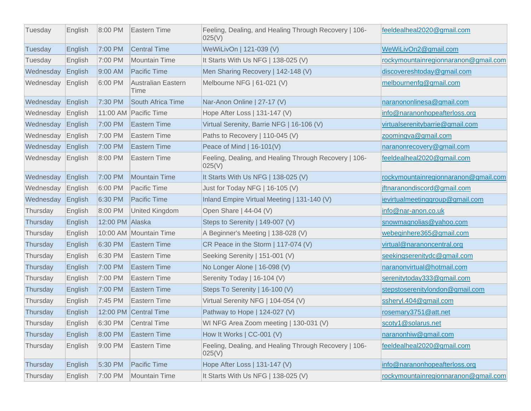| Tuesday   | English         | $8:00$ PM       | Eastern Time               | Feeling, Dealing, and Healing Through Recovery   106-<br>025(V) | feeldealheal2020@gmail.com           |
|-----------|-----------------|-----------------|----------------------------|-----------------------------------------------------------------|--------------------------------------|
| Tuesday   | English         | 7:00 PM         | <b>Central Time</b>        | WeWiLivOn   121-039 (V)                                         | WeWiLivOn2@gmail.com                 |
| Tuesday   | English         | 7:00 PM         | Mountain Time              | It Starts With Us NFG   138-025 (V)                             | rockymountainregionnaranon@gmail.com |
| Wednesday | English         | $9:00$ AM       | Pacific Time               | Men Sharing Recovery   142-148 (V)                              | discovereshtoday@gmail.com           |
| Wednesday | English         | 6:00 PM         | Australian Eastern<br>Time | Melbourne NFG   61-021 (V)                                      | melbournenfg@gmail.com               |
| Wednesday | English         | 7:30 PM         | South Africa Time          | Nar-Anon Online   27-17 (V)                                     | naranononlinesa@gmail.com            |
| Wednesday | English         |                 | 11:00 AM Pacific Time      | Hope After Loss   131-147 (V)                                   | info@naranonhopeafterloss.org        |
| Wednesday | English         | 7:00 PM         | Eastern Time               | Virtual Serenity, Barrie NFG   16-106 (V)                       | virtualserenitybarrie@gmail.com      |
| Wednesday | English         | 7:00 PM         | Eastern Time               | Paths to Recovery   110-045 (V)                                 | zoomingva@gmail.com                  |
| Wednesday | English         | 7:00 PM         | Eastern Time               | Peace of Mind $  16-101(V)$                                     | naranonrecovery@gmail.com            |
| Wednesday | $\vert$ English | 8:00 PM         | Eastern Time               | Feeling, Dealing, and Healing Through Recovery   106-<br>025(V) | feeldealheal2020@gmail.com           |
| Wednesday | English         | 7:00 PM         | <b>Mountain Time</b>       | It Starts With Us NFG   138-025 (V)                             | rockymountainregionnaranon@gmail.com |
| Wednesday | English         | 6:00 PM         | Pacific Time               | Just for Today NFG   16-105 (V)                                 | jftnaranondiscord@gmail.com          |
| Wednesday | English         | 6:30 PM         | Pacific Time               | Inland Empire Virtual Meeting   131-140 (V)                     | jevirtualmeetinggroup@gmail.com      |
| Thursday  | English         | 8:00 PM         | <b>United Kingdom</b>      | Open Share   44-04 (V)                                          | info@nar-anon.co.uk                  |
| Thursday  | English         | 12:00 PM Alaska |                            | Steps to Serenity   149-007 (V)                                 | snowmagnolias@yahoo.com              |
| Thursday  | English         |                 | 10:00 AM Mountain Time     | A Beginner's Meeting   138-028 (V)                              | webeginhere365@gmail.com             |
| Thursday  | English         | 6:30 PM         | Eastern Time               | CR Peace in the Storm $  117-074 (V)$                           | virtual@naranoncentral.org           |
| Thursday  | English         | 6:30 PM         | Eastern Time               | Seeking Serenity   151-001 (V)                                  | seekingserenitydc@gmail.com          |
| Thursday  | English         | 7:00 PM         | Eastern Time               | No Longer Alone   16-098 (V)                                    | naranonvirtual@hotmail.com           |
| Thursday  | English         | 7:00 PM         | Eastern Time               | Serenity Today   16-104 (V)                                     | serenitytoday333@gmail.com           |
| Thursday  | English         | 7:00 PM         | Eastern Time               | Steps To Serenity   16-100 (V)                                  | stepstoserenitylondon@gmail.com      |
| Thursday  | English         | 7:45 PM         | Eastern Time               | Virtual Serenity NFG   104-054 (V)                              | ssheryl.404@gmail.com                |
| Thursday  | English         |                 | 12:00 PM Central Time      | Pathway to Hope   124-027 (V)                                   | rosemary3751@att.net                 |
| Thursday  | English         |                 | 6:30 PM Central Time       | WI NFG Area Zoom meeting   130-031 (V)                          | scoty1@solarus.net                   |
| Thursday  | English         | $ 8:00$ PM      | Eastern Time               | How It Works   CC-001 (V)                                       | naranonhiw@gmail.com                 |
| Thursday  | English         | 9:00 PM         | Eastern Time               | Feeling, Dealing, and Healing Through Recovery   106-<br>025(V) | feeldealheal2020@gmail.com           |
| Thursday  | English         | 5:30 PM         | Pacific Time               | Hope After Loss   131-147 (V)                                   | info@naranonhopeafterloss.org        |
| Thursday  | English         | 7:00 PM         | Mountain Time              | It Starts With Us NFG   138-025 (V)                             | rockymountainregionnaranon@gmail.com |